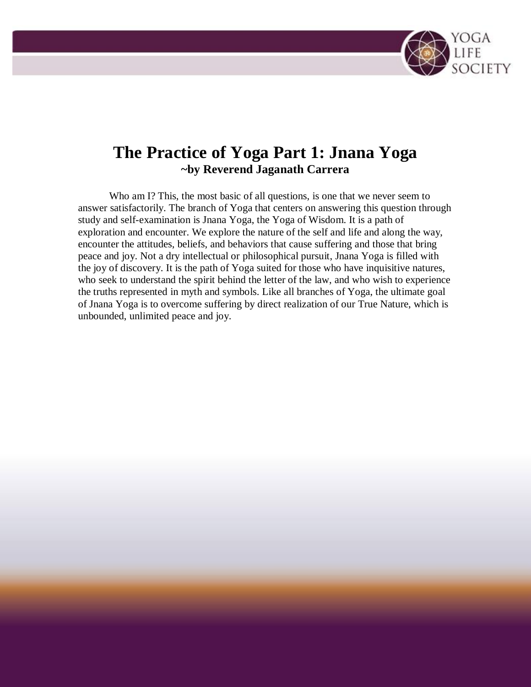

# **The Practice of Yoga Part 1: Jnana Yoga ~by Reverend Jaganath Carrera**

Who am I? This, the most basic of all questions, is one that we never seem to answer satisfactorily. The branch of Yoga that centers on answering this question through study and self-examination is Jnana Yoga, the Yoga of Wisdom. It is a path of exploration and encounter. We explore the nature of the self and life and along the way, encounter the attitudes, beliefs, and behaviors that cause suffering and those that bring peace and joy. Not a dry intellectual or philosophical pursuit, Jnana Yoga is filled with the joy of discovery. It is the path of Yoga suited for those who have inquisitive natures, who seek to understand the spirit behind the letter of the law, and who wish to experience the truths represented in myth and symbols. Like all branches of Yoga, the ultimate goal of Jnana Yoga is to overcome suffering by direct realization of our True Nature, which is unbounded, unlimited peace and joy.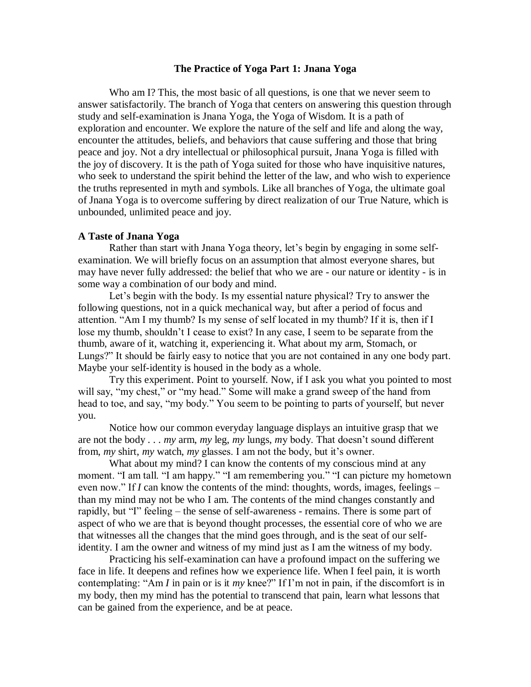## **The Practice of Yoga Part 1: Jnana Yoga**

Who am I? This, the most basic of all questions, is one that we never seem to answer satisfactorily. The branch of Yoga that centers on answering this question through study and self-examination is Jnana Yoga, the Yoga of Wisdom. It is a path of exploration and encounter. We explore the nature of the self and life and along the way, encounter the attitudes, beliefs, and behaviors that cause suffering and those that bring peace and joy. Not a dry intellectual or philosophical pursuit, Jnana Yoga is filled with the joy of discovery. It is the path of Yoga suited for those who have inquisitive natures, who seek to understand the spirit behind the letter of the law, and who wish to experience the truths represented in myth and symbols. Like all branches of Yoga, the ultimate goal of Jnana Yoga is to overcome suffering by direct realization of our True Nature, which is unbounded, unlimited peace and joy.

#### **A Taste of Jnana Yoga**

Rather than start with Jnana Yoga theory, let's begin by engaging in some selfexamination. We will briefly focus on an assumption that almost everyone shares, but may have never fully addressed: the belief that who we are - our nature or identity - is in some way a combination of our body and mind.

Let's begin with the body. Is my essential nature physical? Try to answer the following questions, not in a quick mechanical way, but after a period of focus and attention. "Am I my thumb? Is my sense of self located in my thumb? If it is, then if I lose my thumb, shouldn"t I cease to exist? In any case, I seem to be separate from the thumb, aware of it, watching it, experiencing it. What about my arm, Stomach, or Lungs?" It should be fairly easy to notice that you are not contained in any one body part. Maybe your self-identity is housed in the body as a whole.

Try this experiment. Point to yourself. Now, if I ask you what you pointed to most will say, "my chest," or "my head." Some will make a grand sweep of the hand from head to toe, and say, "my body." You seem to be pointing to parts of yourself, but never you.

Notice how our common everyday language displays an intuitive grasp that we are not the body . . . *my* arm, *my* leg, *my* lungs, *m*y body. That doesn"t sound different from, *my* shirt, *my* watch, *my* glasses. I am not the body, but it's owner.

What about my mind? I can know the contents of my conscious mind at any moment. "I am tall. "I am happy." "I am remembering you." "I can picture my hometown even now." If *I* can know the contents of the mind: thoughts, words, images, feelings – than my mind may not be who I am. The contents of the mind changes constantly and rapidly, but "I" feeling – the sense of self-awareness - remains. There is some part of aspect of who we are that is beyond thought processes, the essential core of who we are that witnesses all the changes that the mind goes through, and is the seat of our selfidentity. I am the owner and witness of my mind just as I am the witness of my body.

Practicing his self-examination can have a profound impact on the suffering we face in life. It deepens and refines how we experience life. When I feel pain, it is worth contemplating: "Am *I* in pain or is it *my* knee?" If I"m not in pain, if the discomfort is in my body, then my mind has the potential to transcend that pain, learn what lessons that can be gained from the experience, and be at peace.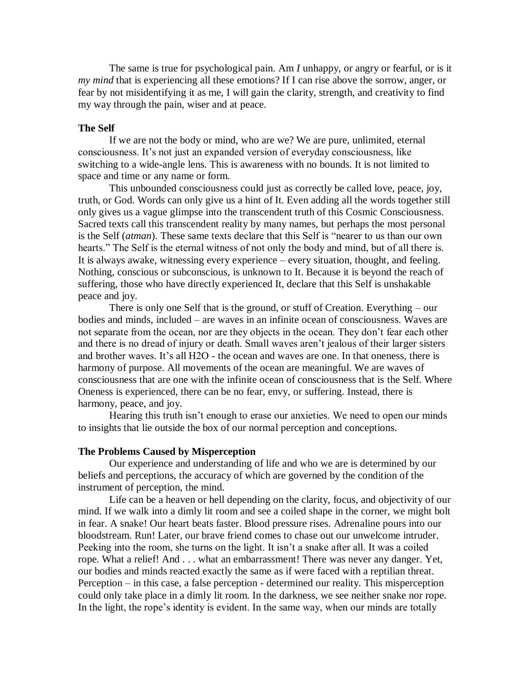The same is true for psychological pain. Am *I* unhappy, or angry or fearful, or is it *my mind* that is experiencing all these emotions? If I can rise above the sorrow, anger, or fear by not misidentifying it as me, I will gain the clarity, strength, and creativity to find my way through the pain, wiser and at peace.

## **The Self**

If we are not the body or mind, who are we? We are pure, unlimited, eternal consciousness. It"s not just an expanded version of everyday consciousness, like switching to a wide-angle lens. This is awareness with no bounds. It is not limited to space and time or any name or form.

This unbounded consciousness could just as correctly be called love, peace, joy, truth, or God. Words can only give us a hint of It. Even adding all the words together still only gives us a vague glimpse into the transcendent truth of this Cosmic Consciousness. Sacred texts call this transcendent reality by many names, but perhaps the most personal is the Self (*atman*). These same texts declare that this Self is "nearer to us than our own hearts." The Self is the eternal witness of not only the body and mind, but of all there is. It is always awake, witnessing every experience – every situation, thought, and feeling. Nothing, conscious or subconscious, is unknown to It. Because it is beyond the reach of suffering, those who have directly experienced It, declare that this Self is unshakable peace and joy.

There is only one Self that is the ground, or stuff of Creation. Everything – our bodies and minds, included – are waves in an infinite ocean of consciousness. Waves are not separate from the ocean, nor are they objects in the ocean. They don"t fear each other and there is no dread of injury or death. Small waves aren"t jealous of their larger sisters and brother waves. It's all H2O - the ocean and waves are one. In that oneness, there is harmony of purpose. All movements of the ocean are meaningful. We are waves of consciousness that are one with the infinite ocean of consciousness that is the Self. Where Oneness is experienced, there can be no fear, envy, or suffering. Instead, there is harmony, peace, and joy.

Hearing this truth isn't enough to erase our anxieties. We need to open our minds to insights that lie outside the box of our normal perception and conceptions.

#### **The Problems Caused by Misperception**

Our experience and understanding of life and who we are is determined by our beliefs and perceptions, the accuracy of which are governed by the condition of the instrument of perception, the mind.

Life can be a heaven or hell depending on the clarity, focus, and objectivity of our mind. If we walk into a dimly lit room and see a coiled shape in the corner, we might bolt in fear. A snake! Our heart beats faster. Blood pressure rises. Adrenaline pours into our bloodstream. Run! Later, our brave friend comes to chase out our unwelcome intruder. Peeking into the room, she turns on the light. It isn't a snake after all. It was a coiled rope. What a relief! And . . . what an embarrassment! There was never any danger. Yet, our bodies and minds reacted exactly the same as if were faced with a reptilian threat. Perception – in this case, a false perception - determined our reality. This misperception could only take place in a dimly lit room. In the darkness, we see neither snake nor rope. In the light, the rope's identity is evident. In the same way, when our minds are totally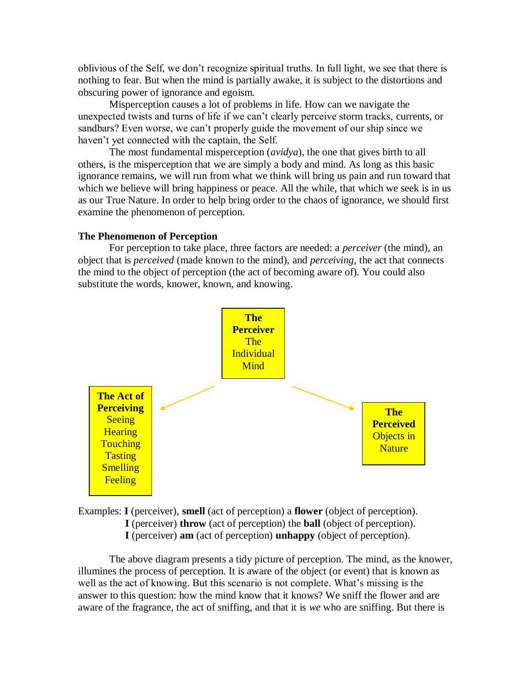oblivious of the Self, we don"t recognize spiritual truths. In full light, we see that there is nothing to fear. But when the mind is partially awake, it is subject to the distortions and obscuring power of ignorance and egoism.

Misperception causes a lot of problems in life. How can we navigate the unexpected twists and turns of life if we can"t clearly perceive storm tracks, currents, or sandbars? Even worse, we can't properly guide the movement of our ship since we haven't yet connected with the captain, the Self.

The most fundamental misperception (*avidya*), the one that gives birth to all others, is the misperception that we are simply a body and mind. As long as this basic ignorance remains, we will run from what we think will bring us pain and run toward that which we believe will bring happiness or peace. All the while, that which we seek is in us as our True Nature. In order to help bring order to the chaos of ignorance, we should first examine the phenomenon of perception.

## **The Phenomenon of Perception**

For perception to take place, three factors are needed: a *perceiver* (the mind), an object that is *perceived* (made known to the mind), and *perceiving*, the act that connects the mind to the object of perception (the act of becoming aware of). You could also substitute the words, knower, known, and knowing.



Examples: **I** (perceiver), **smell** (act of perception) a **flower** (object of perception). **I** (perceiver) **throw** (act of perception) the **ball** (object of perception). **I** (perceiver) **am** (act of perception) **unhappy** (object of perception).

The above diagram presents a tidy picture of perception. The mind, as the knower, illumines the process of perception. It is aware of the object (or event) that is known as well as the act of knowing. But this scenario is not complete. What's missing is the answer to this question: how the mind know that it knows? We sniff the flower and are aware of the fragrance, the act of sniffing, and that it is *we* who are sniffing. But there is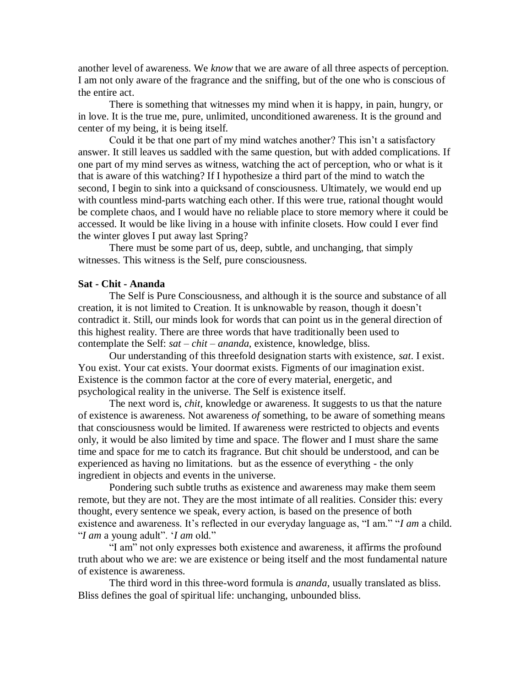another level of awareness. We *know* that we are aware of all three aspects of perception. I am not only aware of the fragrance and the sniffing, but of the one who is conscious of the entire act.

There is something that witnesses my mind when it is happy, in pain, hungry, or in love. It is the true me, pure, unlimited, unconditioned awareness. It is the ground and center of my being, it is being itself.

Could it be that one part of my mind watches another? This isn"t a satisfactory answer. It still leaves us saddled with the same question, but with added complications. If one part of my mind serves as witness, watching the act of perception, who or what is it that is aware of this watching? If I hypothesize a third part of the mind to watch the second, I begin to sink into a quicksand of consciousness. Ultimately, we would end up with countless mind-parts watching each other. If this were true, rational thought would be complete chaos, and I would have no reliable place to store memory where it could be accessed. It would be like living in a house with infinite closets. How could I ever find the winter gloves I put away last Spring?

There must be some part of us, deep, subtle, and unchanging, that simply witnesses. This witness is the Self, pure consciousness.

# **Sat - Chit - Ananda**

The Self is Pure Consciousness, and although it is the source and substance of all creation, it is not limited to Creation. It is unknowable by reason, though it doesn"t contradict it. Still, our minds look for words that can point us in the general direction of this highest reality. There are three words that have traditionally been used to contemplate the Self: *sat* – *chit* – *ananda*, existence, knowledge, bliss.

Our understanding of this threefold designation starts with existence, *sat*. I exist. You exist. Your cat exists. Your doormat exists. Figments of our imagination exist. Existence is the common factor at the core of every material, energetic, and psychological reality in the universe. The Self is existence itself.

The next word is, *chit*, knowledge or awareness. It suggests to us that the nature of existence is awareness. Not awareness *of* something, to be aware of something means that consciousness would be limited. If awareness were restricted to objects and events only, it would be also limited by time and space. The flower and I must share the same time and space for me to catch its fragrance. But chit should be understood, and can be experienced as having no limitations. but as the essence of everything - the only ingredient in objects and events in the universe.

Pondering such subtle truths as existence and awareness may make them seem remote, but they are not. They are the most intimate of all realities. Consider this: every thought, every sentence we speak, every action, is based on the presence of both existence and awareness. It's reflected in our everyday language as, "I am." "I am a child. "*I am* a young adult". "*I am* old."

"I am" not only expresses both existence and awareness, it affirms the profound truth about who we are: we are existence or being itself and the most fundamental nature of existence is awareness.

The third word in this three-word formula is *ananda*, usually translated as bliss. Bliss defines the goal of spiritual life: unchanging, unbounded bliss.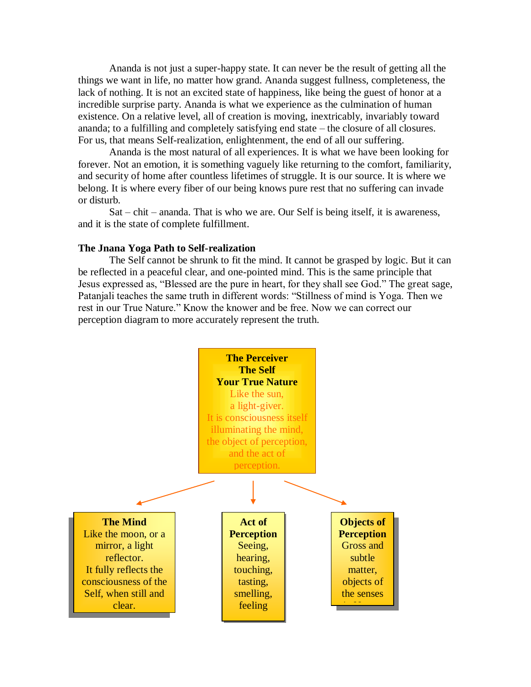Ananda is not just a super-happy state. It can never be the result of getting all the things we want in life, no matter how grand. Ananda suggest fullness, completeness, the lack of nothing. It is not an excited state of happiness, like being the guest of honor at a incredible surprise party. Ananda is what we experience as the culmination of human existence. On a relative level, all of creation is moving, inextricably, invariably toward ananda; to a fulfilling and completely satisfying end state – the closure of all closures. For us, that means Self-realization, enlightenment, the end of all our suffering.

Ananda is the most natural of all experiences. It is what we have been looking for forever. Not an emotion, it is something vaguely like returning to the comfort, familiarity, and security of home after countless lifetimes of struggle. It is our source. It is where we belong. It is where every fiber of our being knows pure rest that no suffering can invade or disturb.

Sat – chit – ananda. That is who we are. Our Self is being itself, it is awareness, and it is the state of complete fulfillment.

# **The Jnana Yoga Path to Self-realization**

The Self cannot be shrunk to fit the mind. It cannot be grasped by logic. But it can be reflected in a peaceful clear, and one-pointed mind. This is the same principle that Jesus expressed as, "Blessed are the pure in heart, for they shall see God." The great sage, Patanjali teaches the same truth in different words: "Stillness of mind is Yoga. Then we rest in our True Nature." Know the knower and be free. Now we can correct our perception diagram to more accurately represent the truth.

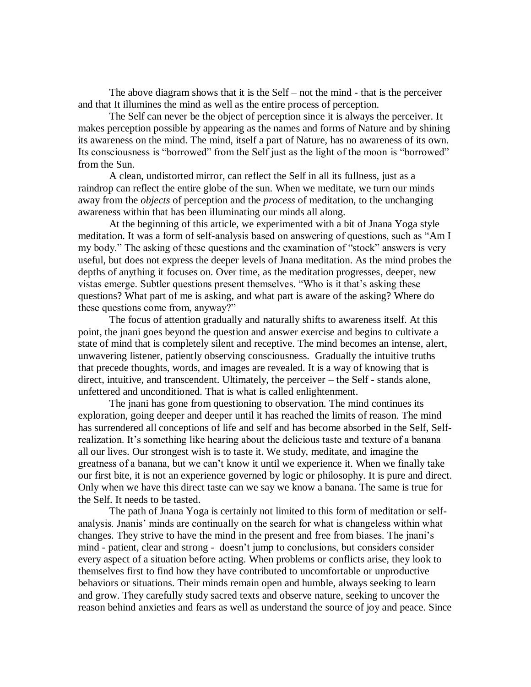The above diagram shows that it is the Self – not the mind - that is the perceiver and that It illumines the mind as well as the entire process of perception.

The Self can never be the object of perception since it is always the perceiver. It makes perception possible by appearing as the names and forms of Nature and by shining its awareness on the mind. The mind, itself a part of Nature, has no awareness of its own. Its consciousness is "borrowed" from the Self just as the light of the moon is "borrowed" from the Sun.

A clean, undistorted mirror, can reflect the Self in all its fullness, just as a raindrop can reflect the entire globe of the sun. When we meditate, we turn our minds away from the *objects* of perception and the *process* of meditation, to the unchanging awareness within that has been illuminating our minds all along.

At the beginning of this article, we experimented with a bit of Jnana Yoga style meditation. It was a form of self-analysis based on answering of questions, such as "Am I my body." The asking of these questions and the examination of "stock" answers is very useful, but does not express the deeper levels of Jnana meditation. As the mind probes the depths of anything it focuses on. Over time, as the meditation progresses, deeper, new vistas emerge. Subtler questions present themselves. "Who is it that"s asking these questions? What part of me is asking, and what part is aware of the asking? Where do these questions come from, anyway?"

The focus of attention gradually and naturally shifts to awareness itself. At this point, the jnani goes beyond the question and answer exercise and begins to cultivate a state of mind that is completely silent and receptive. The mind becomes an intense, alert, unwavering listener, patiently observing consciousness. Gradually the intuitive truths that precede thoughts, words, and images are revealed. It is a way of knowing that is direct, intuitive, and transcendent. Ultimately, the perceiver – the Self - stands alone, unfettered and unconditioned. That is what is called enlightenment.

The jnani has gone from questioning to observation. The mind continues its exploration, going deeper and deeper until it has reached the limits of reason. The mind has surrendered all conceptions of life and self and has become absorbed in the Self, Selfrealization. It's something like hearing about the delicious taste and texture of a banana all our lives. Our strongest wish is to taste it. We study, meditate, and imagine the greatness of a banana, but we can"t know it until we experience it. When we finally take our first bite, it is not an experience governed by logic or philosophy. It is pure and direct. Only when we have this direct taste can we say we know a banana. The same is true for the Self. It needs to be tasted.

The path of Jnana Yoga is certainly not limited to this form of meditation or selfanalysis. Jnanis" minds are continually on the search for what is changeless within what changes. They strive to have the mind in the present and free from biases. The jnani"s mind - patient, clear and strong - doesn"t jump to conclusions, but considers consider every aspect of a situation before acting. When problems or conflicts arise, they look to themselves first to find how they have contributed to uncomfortable or unproductive behaviors or situations. Their minds remain open and humble, always seeking to learn and grow. They carefully study sacred texts and observe nature, seeking to uncover the reason behind anxieties and fears as well as understand the source of joy and peace. Since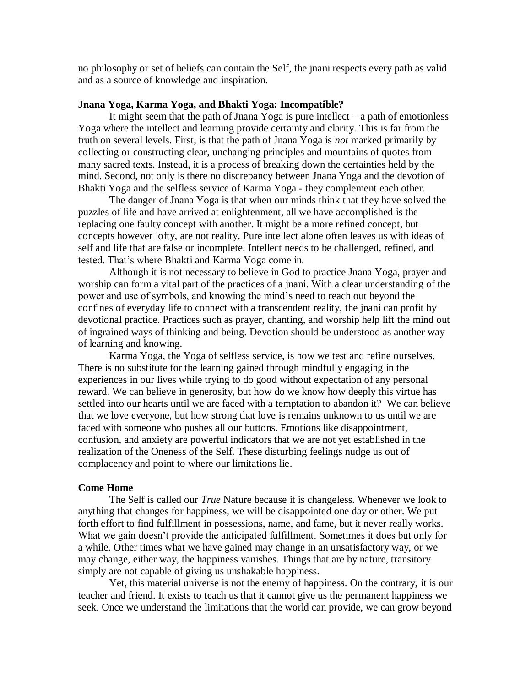no philosophy or set of beliefs can contain the Self, the jnani respects every path as valid and as a source of knowledge and inspiration.

## **Jnana Yoga, Karma Yoga, and Bhakti Yoga: Incompatible?**

It might seem that the path of Jnana Yoga is pure intellect  $-$  a path of emotionless Yoga where the intellect and learning provide certainty and clarity. This is far from the truth on several levels. First, is that the path of Jnana Yoga is *not* marked primarily by collecting or constructing clear, unchanging principles and mountains of quotes from many sacred texts. Instead, it is a process of breaking down the certainties held by the mind. Second, not only is there no discrepancy between Jnana Yoga and the devotion of Bhakti Yoga and the selfless service of Karma Yoga - they complement each other.

The danger of Jnana Yoga is that when our minds think that they have solved the puzzles of life and have arrived at enlightenment, all we have accomplished is the replacing one faulty concept with another. It might be a more refined concept, but concepts however lofty, are not reality. Pure intellect alone often leaves us with ideas of self and life that are false or incomplete. Intellect needs to be challenged, refined, and tested. That"s where Bhakti and Karma Yoga come in.

Although it is not necessary to believe in God to practice Jnana Yoga, prayer and worship can form a vital part of the practices of a jnani. With a clear understanding of the power and use of symbols, and knowing the mind"s need to reach out beyond the confines of everyday life to connect with a transcendent reality, the jnani can profit by devotional practice. Practices such as prayer, chanting, and worship help lift the mind out of ingrained ways of thinking and being. Devotion should be understood as another way of learning and knowing.

Karma Yoga, the Yoga of selfless service, is how we test and refine ourselves. There is no substitute for the learning gained through mindfully engaging in the experiences in our lives while trying to do good without expectation of any personal reward. We can believe in generosity, but how do we know how deeply this virtue has settled into our hearts until we are faced with a temptation to abandon it? We can believe that we love everyone, but how strong that love is remains unknown to us until we are faced with someone who pushes all our buttons. Emotions like disappointment, confusion, and anxiety are powerful indicators that we are not yet established in the realization of the Oneness of the Self. These disturbing feelings nudge us out of complacency and point to where our limitations lie.

#### **Come Home**

The Self is called our *True* Nature because it is changeless. Whenever we look to anything that changes for happiness, we will be disappointed one day or other. We put forth effort to find fulfillment in possessions, name, and fame, but it never really works. What we gain doesn't provide the anticipated fulfillment. Sometimes it does but only for a while. Other times what we have gained may change in an unsatisfactory way, or we may change, either way, the happiness vanishes. Things that are by nature, transitory simply are not capable of giving us unshakable happiness.

Yet, this material universe is not the enemy of happiness. On the contrary, it is our teacher and friend. It exists to teach us that it cannot give us the permanent happiness we seek. Once we understand the limitations that the world can provide, we can grow beyond